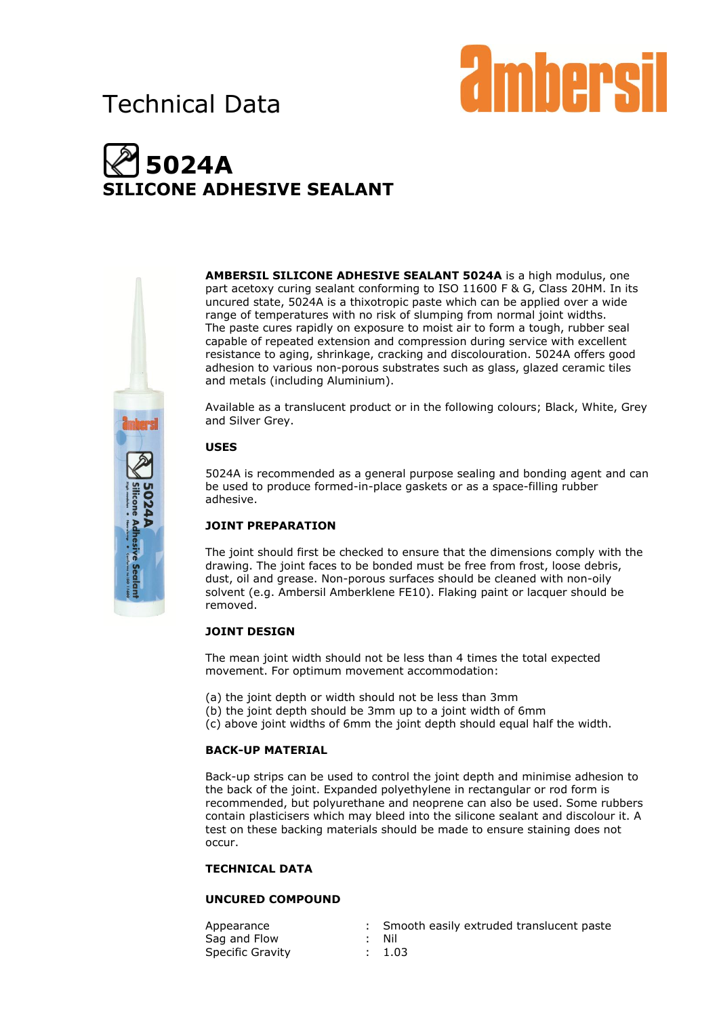## Technical Data



# **5024A LICONE ADHESIVE SEALANT**



**AMBERSIL SILICONE ADHESIVE SEALANT 5024A** is a high modulus, one part acetoxy curing sealant conforming to ISO 11600 F & G, Class 20HM. In its uncured state, 5024A is a thixotropic paste which can be applied over a wide range of temperatures with no risk of slumping from normal joint widths. The paste cures rapidly on exposure to moist air to form a tough, rubber seal capable of repeated extension and compression during service with excellent resistance to aging, shrinkage, cracking and discolouration. 5024A offers good adhesion to various non-porous substrates such as glass, glazed ceramic tiles and metals (including Aluminium).

Available as a translucent product or in the following colours; Black, White, Grey and Silver Grey.

## **USES**

5024A is recommended as a general purpose sealing and bonding agent and can be used to produce formed-in-place gaskets or as a space-filling rubber adhesive.

## **JOINT PREPARATION**

The joint should first be checked to ensure that the dimensions comply with the drawing. The joint faces to be bonded must be free from frost, loose debris, dust, oil and grease. Non-porous surfaces should be cleaned with non-oily solvent (e.g. Ambersil Amberklene FE10). Flaking paint or lacquer should be removed.

## **JOINT DESIGN**

The mean joint width should not be less than 4 times the total expected movement. For optimum movement accommodation:

- (a) the joint depth or width should not be less than 3mm
- (b) the joint depth should be 3mm up to a joint width of 6mm
- (c) above joint widths of 6mm the joint depth should equal half the width.

## **BACK-UP MATERIAL**

Back-up strips can be used to control the joint depth and minimise adhesion to the back of the joint. Expanded polyethylene in rectangular or rod form is recommended, but polyurethane and neoprene can also be used. Some rubbers contain plasticisers which may bleed into the silicone sealant and discolour it. A test on these backing materials should be made to ensure staining does not occur.

#### **TECHNICAL DATA**

## **UNCURED COMPOUND**

Appearance : Smooth easily extruded translucent paste Sag and Flow : Nil Specific Gravity : 1.03